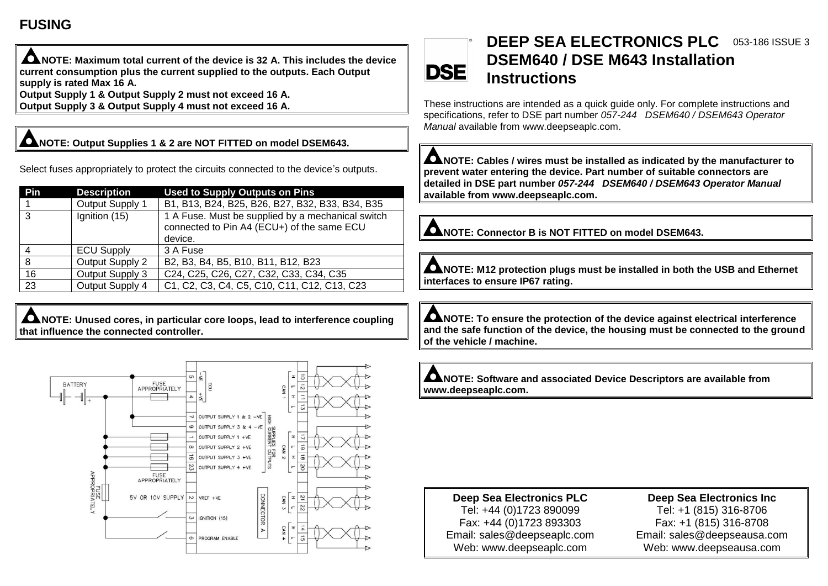## **FUSING**

**NOTE: Maximum total current of the device is 32 A. This includes the device current consumption plus the current supplied to the outputs. Each Output supply is rated Max 16 A. Output Supply 1 & Output Supply 2 must not exceed 16 A.**

**Output Supply 3 & Output Supply 4 must not exceed 16 A.**

### **NOTE: Output Supplies 1 & 2 are NOT FITTED on model DSEM643.**

Select fuses appropriately to protect the circuits connected to the device's outputs.

| Pin | <b>Description</b> | <b>Used to Supply Outputs on Pins</b>                                                                      |
|-----|--------------------|------------------------------------------------------------------------------------------------------------|
|     | Output Supply 1    | B1, B13, B24, B25, B26, B27, B32, B33, B34, B35                                                            |
| 3   | Ignition (15)      | 1 A Fuse. Must be supplied by a mechanical switch<br>connected to Pin A4 (ECU+) of the same ECU<br>device. |
|     | <b>ECU Supply</b>  | 3 A Fuse                                                                                                   |
| 8   | Output Supply 2    | B2, B3, B4, B5, B10, B11, B12, B23                                                                         |
| 16  | Output Supply 3    | C24, C25, C26, C27, C32, C33, C34, C35                                                                     |
| 23  | Output Supply 4    | C1, C2, C3, C4, C5, C10, C11, C12, C13, C23                                                                |

**NOTE: Unused cores, in particular core loops, lead to interference coupling that influence the connected controller.**



#### **DEEP SEA ELECTRONICS PLC** 053-186 ISSUE 3**DSEM640 / DSE M643 Installation DSE Instructions**

These instructions are intended as a quick guide only. For complete instructions and specifications, refer to DSE part number *057-244 DSEM640 / DSEM643 Operator Manual* available from [www.deepseaplc.com.](http://www.deepseaplc.com/)

**NOTE: Cables / wires must be installed as indicated by the manufacturer to prevent water entering the device. Part number of suitable connectors are detailed in DSE part number** *057-244 DSEM640 / DSEM643 Operator Manual* **available from www.deepseaplc.com.**

**NOTE: Connector B is NOT FITTED on model DSEM643.**

**NOTE: M12 protection plugs must be installed in both the USB and Ethernet interfaces to ensure IP67 rating.**

**ANOTE: To ensure the protection of the device against electrical interference and the safe function of the device, the housing must be connected to the ground of the vehicle / machine.**

**NOTE: Software and associated Device Descriptors are available from www.deepseaplc.com.**

**Deep Sea Electronics PLC** Tel: +44 (0)1723 890099 Fax: +44 (0)1723 893303 Email: sales@deepseaplc.com Web: www.deepseaplc.com

**Deep Sea Electronics Inc** Tel: +1 (815) 316-8706 Fax: +1 (815) 316-8708 Email: sales@deepseausa.com Web: www.deepseausa.com